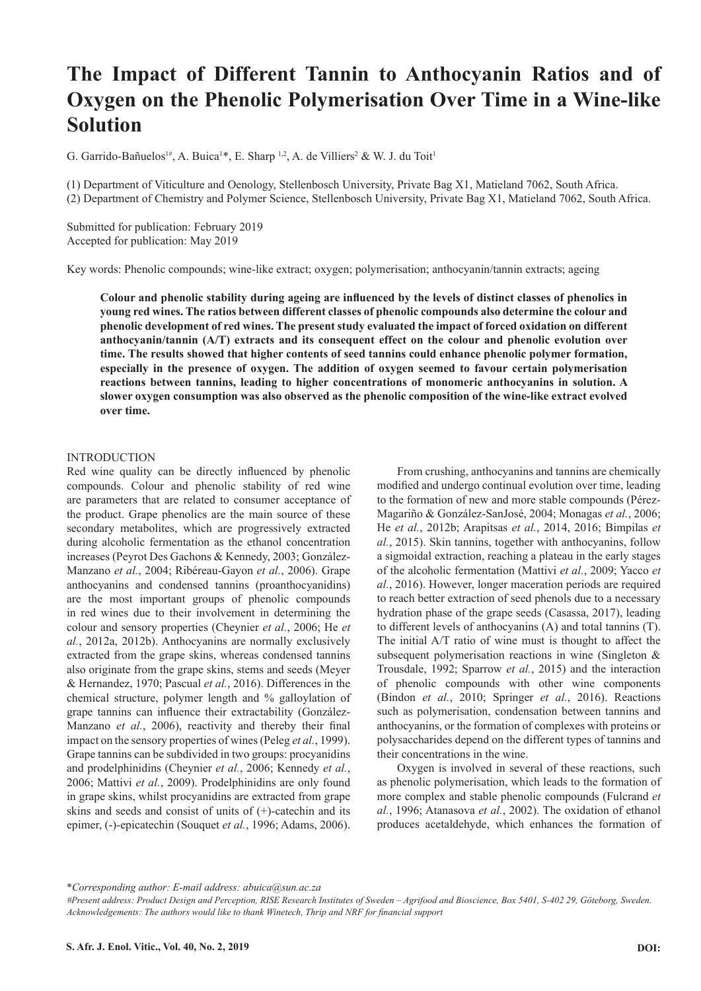# **The Impact of Different Tannin to Anthocyanin Ratios and of Oxygen on the Phenolic Polymerisation Over Time in a Wine-like Solution**

G. Garrido-Bañuelos<sup>1#</sup>, A. Buica<sup>1\*</sup>, E. Sharp<sup>1,2</sup>, A. de Villiers<sup>2</sup> & W. J. du Toit<sup>1</sup>

(1) Department of Viticulture and Oenology, Stellenbosch University, Private Bag X1, Matieland 7062, South Africa. (2) Department of Chemistry and Polymer Science, Stellenbosch University, Private Bag X1, Matieland 7062, South Africa.

Submitted for publication: February 2019 Accepted for publication: May 2019

Key words: Phenolic compounds; wine-like extract; oxygen; polymerisation; anthocyanin/tannin extracts; ageing

**Colour and phenolic stability during ageing are influenced by the levels of distinct classes of phenolics in young red wines. The ratios between different classes of phenolic compounds also determine the colour and phenolic development of red wines. The present study evaluated the impact of forced oxidation on different anthocyanin/tannin (A/T) extracts and its consequent effect on the colour and phenolic evolution over time. The results showed that higher contents of seed tannins could enhance phenolic polymer formation, especially in the presence of oxygen. The addition of oxygen seemed to favour certain polymerisation reactions between tannins, leading to higher concentrations of monomeric anthocyanins in solution. A slower oxygen consumption was also observed as the phenolic composition of the wine-like extract evolved over time.** 

## INTRODUCTION

Red wine quality can be directly influenced by phenolic compounds. Colour and phenolic stability of red wine are parameters that are related to consumer acceptance of the product. Grape phenolics are the main source of these secondary metabolites, which are progressively extracted during alcoholic fermentation as the ethanol concentration increases (Peyrot Des Gachons & Kennedy, 2003; González-Manzano *et al.*, 2004; Ribéreau-Gayon *et al.*, 2006). Grape anthocyanins and condensed tannins (proanthocyanidins) are the most important groups of phenolic compounds in red wines due to their involvement in determining the colour and sensory properties (Cheynier *et al.*, 2006; He *et al.*, 2012a, 2012b). Anthocyanins are normally exclusively extracted from the grape skins, whereas condensed tannins also originate from the grape skins, stems and seeds (Meyer & Hernandez, 1970; Pascual *et al.*, 2016). Differences in the chemical structure, polymer length and % galloylation of grape tannins can influence their extractability (González-Manzano *et al.*, 2006), reactivity and thereby their final impact on the sensory properties of wines (Peleg *et al.*, 1999). Grape tannins can be subdivided in two groups: procyanidins and prodelphinidins (Cheynier *et al.*, 2006; Kennedy *et al.*, 2006; Mattivi *et al.*, 2009). Prodelphinidins are only found in grape skins, whilst procyanidins are extracted from grape skins and seeds and consist of units of (+)-catechin and its epimer, (-)-epicatechin (Souquet *et al.*, 1996; Adams, 2006).

From crushing, anthocyanins and tannins are chemically modified and undergo continual evolution over time, leading to the formation of new and more stable compounds (Pérez-Magariño & González-SanJosé, 2004; Monagas *et al.*, 2006; He *et al.*, 2012b; Arapitsas *et al.*, 2014, 2016; Bimpilas *et al.*, 2015). Skin tannins, together with anthocyanins, follow a sigmoidal extraction, reaching a plateau in the early stages of the alcoholic fermentation (Mattivi *et al.*, 2009; Yacco *et al.*, 2016). However, longer maceration periods are required to reach better extraction of seed phenols due to a necessary hydration phase of the grape seeds (Casassa, 2017), leading to different levels of anthocyanins (A) and total tannins (T). The initial A/T ratio of wine must is thought to affect the subsequent polymerisation reactions in wine (Singleton & Trousdale, 1992; Sparrow *et al.*, 2015) and the interaction of phenolic compounds with other wine components (Bindon *et al.*, 2010; Springer *et al.*, 2016). Reactions such as polymerisation, condensation between tannins and anthocyanins, or the formation of complexes with proteins or polysaccharides depend on the different types of tannins and their concentrations in the wine.

Oxygen is involved in several of these reactions, such as phenolic polymerisation, which leads to the formation of more complex and stable phenolic compounds (Fulcrand *et al.*, 1996; Atanasova *et al.*, 2002). The oxidation of ethanol produces acetaldehyde, which enhances the formation of

\**Corresponding author: E-mail address: abuica@sun.ac.za*

*<sup>#</sup>Present address: Product Design and Perception, RISE Research Institutes of Sweden – Agrifood and Bioscience, Box 5401, S-402 29, Göteborg, Sweden. Acknowledgements: The authors would like to thank Winetech, Thrip and NRF for financial support*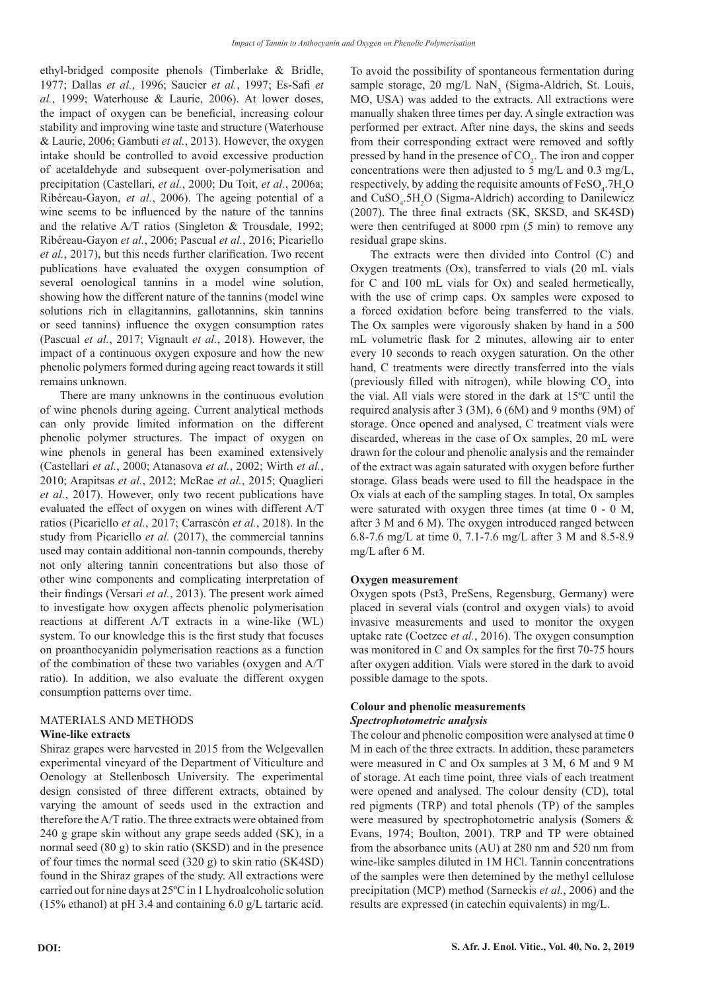ethyl-bridged composite phenols (Timberlake & Bridle, 1977; Dallas *et al.*, 1996; Saucier *et al.*, 1997; Es-Safi *et al.*, 1999; Waterhouse & Laurie, 2006). At lower doses, the impact of oxygen can be beneficial, increasing colour stability and improving wine taste and structure (Waterhouse & Laurie, 2006; Gambuti *et al.*, 2013). However, the oxygen intake should be controlled to avoid excessive production of acetaldehyde and subsequent over-polymerisation and precipitation (Castellari, *et al.*, 2000; Du Toit, *et al.*, 2006a; Ribéreau-Gayon, *et al.*, 2006). The ageing potential of a wine seems to be influenced by the nature of the tannins and the relative A/T ratios (Singleton & Trousdale, 1992; Ribéreau-Gayon *et al.*, 2006; Pascual *et al.*, 2016; Picariello *et al.*, 2017), but this needs further clarification. Two recent publications have evaluated the oxygen consumption of several oenological tannins in a model wine solution, showing how the different nature of the tannins (model wine solutions rich in ellagitannins, gallotannins, skin tannins or seed tannins) influence the oxygen consumption rates (Pascual *et al.*, 2017; Vignault *et al.*, 2018). However, the impact of a continuous oxygen exposure and how the new phenolic polymers formed during ageing react towards it still remains unknown.

There are many unknowns in the continuous evolution of wine phenols during ageing. Current analytical methods can only provide limited information on the different phenolic polymer structures. The impact of oxygen on wine phenols in general has been examined extensively (Castellari *et al.*, 2000; Atanasova *et al.*, 2002; Wirth *et al.*, 2010; Arapitsas *et al.*, 2012; McRae *et al.*, 2015; Quaglieri *et al.*, 2017). However, only two recent publications have evaluated the effect of oxygen on wines with different A/T ratios (Picariello *et al.*, 2017; Carrascón *et al.*, 2018). In the study from Picariello *et al.* (2017), the commercial tannins used may contain additional non-tannin compounds, thereby not only altering tannin concentrations but also those of other wine components and complicating interpretation of their findings (Versari *et al.*, 2013). The present work aimed to investigate how oxygen affects phenolic polymerisation reactions at different A/T extracts in a wine-like (WL) system. To our knowledge this is the first study that focuses on proanthocyanidin polymerisation reactions as a function of the combination of these two variables (oxygen and A/T ratio). In addition, we also evaluate the different oxygen consumption patterns over time.

## MATERIALS AND METHODS **Wine-like extracts**

Shiraz grapes were harvested in 2015 from the Welgevallen experimental vineyard of the Department of Viticulture and Oenology at Stellenbosch University. The experimental design consisted of three different extracts, obtained by varying the amount of seeds used in the extraction and therefore the A/T ratio. The three extracts were obtained from 240 g grape skin without any grape seeds added (SK), in a normal seed (80 g) to skin ratio (SKSD) and in the presence of four times the normal seed (320 g) to skin ratio (SK4SD) found in the Shiraz grapes of the study. All extractions were carried out for nine days at 25ºC in 1 L hydroalcoholic solution (15% ethanol) at pH 3.4 and containing 6.0 g/L tartaric acid.

To avoid the possibility of spontaneous fermentation during sample storage, 20 mg/L NaN<sub>3</sub> (Sigma-Aldrich, St. Louis, MO, USA) was added to the extracts. All extractions were manually shaken three times per day. A single extraction was performed per extract. After nine days, the skins and seeds from their corresponding extract were removed and softly pressed by hand in the presence of  $CO<sub>2</sub>$ . The iron and copper concentrations were then adjusted to 5 mg/L and 0.3 mg/L, respectively, by adding the requisite amounts of  $\text{FeSO}_4$ .7H<sub>2</sub>O and CuSO<sub>4</sub>.5H<sub>2</sub>O (Sigma-Aldrich) according to Danilewicz (2007). The three final extracts (SK, SKSD, and SK4SD) were then centrifuged at 8000 rpm (5 min) to remove any residual grape skins.

The extracts were then divided into Control (C) and Oxygen treatments (Ox), transferred to vials (20 mL vials for C and 100 mL vials for Ox) and sealed hermetically, with the use of crimp caps. Ox samples were exposed to a forced oxidation before being transferred to the vials. The Ox samples were vigorously shaken by hand in a 500 mL volumetric flask for 2 minutes, allowing air to enter every 10 seconds to reach oxygen saturation. On the other hand, C treatments were directly transferred into the vials (previously filled with nitrogen), while blowing  $CO<sub>2</sub>$  into the vial. All vials were stored in the dark at 15ºC until the required analysis after 3 (3M), 6 (6M) and 9 months (9M) of storage. Once opened and analysed, C treatment vials were discarded, whereas in the case of Ox samples, 20 mL were drawn for the colour and phenolic analysis and the remainder of the extract was again saturated with oxygen before further storage. Glass beads were used to fill the headspace in the Ox vials at each of the sampling stages. In total, Ox samples were saturated with oxygen three times (at time 0 - 0 M, after 3 M and 6 M). The oxygen introduced ranged between 6.8-7.6 mg/L at time 0, 7.1-7.6 mg/L after 3 M and 8.5-8.9 mg/L after 6 M.

# **Oxygen measurement**

Oxygen spots (Pst3, PreSens, Regensburg, Germany) were placed in several vials (control and oxygen vials) to avoid invasive measurements and used to monitor the oxygen uptake rate (Coetzee *et al.*, 2016). The oxygen consumption was monitored in C and Ox samples for the first 70-75 hours after oxygen addition. Vials were stored in the dark to avoid possible damage to the spots.

## **Colour and phenolic measurements** *Spectrophotometric analysis*

The colour and phenolic composition were analysed at time 0 M in each of the three extracts. In addition, these parameters were measured in C and Ox samples at 3 M, 6 M and 9 M of storage. At each time point, three vials of each treatment were opened and analysed. The colour density (CD), total red pigments (TRP) and total phenols (TP) of the samples were measured by spectrophotometric analysis (Somers & Evans, 1974; Boulton, 2001). TRP and TP were obtained from the absorbance units (AU) at 280 nm and 520 nm from wine-like samples diluted in 1M HCl. Tannin concentrations of the samples were then detemined by the methyl cellulose precipitation (MCP) method (Sarneckis *et al.*, 2006) and the results are expressed (in catechin equivalents) in mg/L.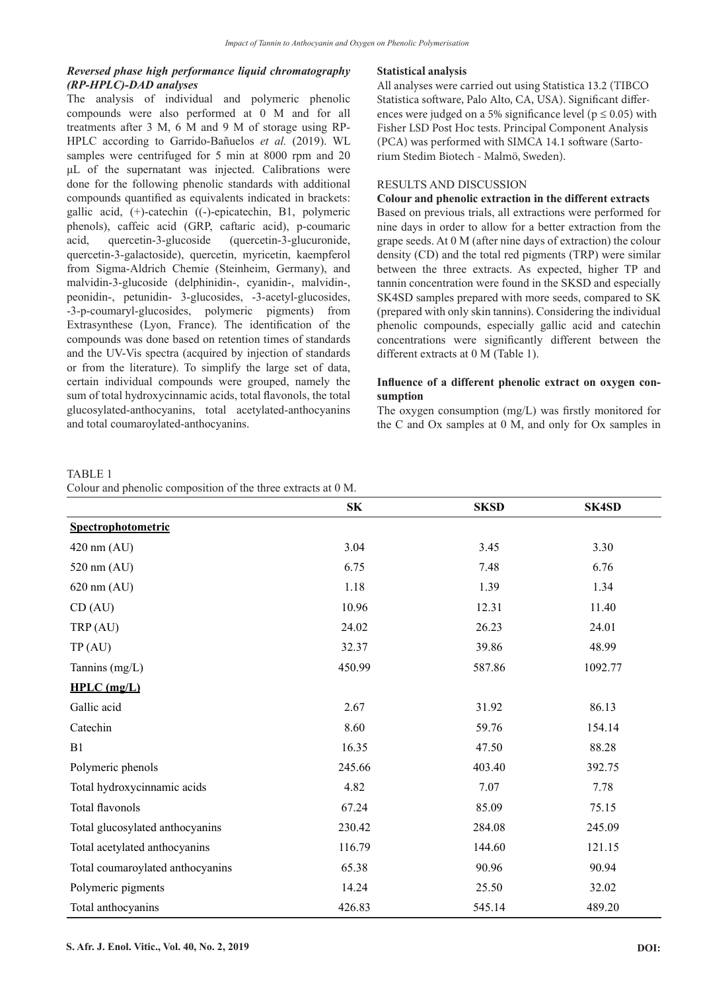# *Reversed phase high performance liquid chromatography (RP-HPLC)-DAD analyses*

The analysis of individual and polymeric phenolic compounds were also performed at 0 M and for all treatments after 3 M, 6 M and 9 M of storage using RP-HPLC according to Garrido-Bañuelos *et al.* (2019). WL samples were centrifuged for 5 min at 8000 rpm and 20 μL of the supernatant was injected. Calibrations were done for the following phenolic standards with additional compounds quantified as equivalents indicated in brackets: gallic acid, (+)-catechin ((-)-epicatechin, B1, polymeric phenols), caffeic acid (GRP, caftaric acid), p-coumaric acid, quercetin-3-glucoside (quercetin-3-glucuronide, quercetin-3-galactoside), quercetin, myricetin, kaempferol from Sigma-Aldrich Chemie (Steinheim, Germany), and malvidin-3-glucoside (delphinidin-, cyanidin-, malvidin-, peonidin-, petunidin- 3-glucosides, -3-acetyl-glucosides, -3-p-coumaryl-glucosides, polymeric pigments) from Extrasynthese (Lyon, France). The identification of the compounds was done based on retention times of standards and the UV-Vis spectra (acquired by injection of standards or from the literature). To simplify the large set of data, certain individual compounds were grouped, namely the sum of total hydroxycinnamic acids, total flavonols, the total glucosylated-anthocyanins, total acetylated-anthocyanins and total coumaroylated-anthocyanins.

#### **Statistical analysis**

All analyses were carried out using Statistica 13.2 (TIBCO Statistica software, Palo Alto, CA, USA). Significant differences were judged on a 5% significance level ( $p \le 0.05$ ) with Fisher LSD Post Hoc tests. Principal Component Analysis (PCA) was performed with SIMCA 14.1 software (Sartorium Stedim Biotech - Malmö, Sweden).

## RESULTS AND DISCUSSION

## **Colour and phenolic extraction in the different extracts**

Based on previous trials, all extractions were performed for nine days in order to allow for a better extraction from the grape seeds. At 0 M (after nine days of extraction) the colour density (CD) and the total red pigments (TRP) were similar between the three extracts. As expected, higher TP and tannin concentration were found in the SKSD and especially SK4SD samples prepared with more seeds, compared to SK (prepared with only skin tannins). Considering the individual phenolic compounds, especially gallic acid and catechin concentrations were significantly different between the different extracts at 0 M (Table 1).

# **Influence of a different phenolic extract on oxygen consumption**

The oxygen consumption (mg/L) was firstly monitored for the C and Ox samples at 0 M, and only for Ox samples in

#### TABLE 1

|  |  |  |  | Colour and phenolic composition of the three extracts at 0 M. |
|--|--|--|--|---------------------------------------------------------------|
|--|--|--|--|---------------------------------------------------------------|

|                                  | SK     | <b>SKSD</b> | <b>SK4SD</b> |
|----------------------------------|--------|-------------|--------------|
| Spectrophotometric               |        |             |              |
| $420 \text{ nm}$ (AU)            | 3.04   | 3.45        | 3.30         |
| 520 nm (AU)                      | 6.75   | 7.48        | 6.76         |
| $620$ nm $(AU)$                  | 1.18   | 1.39        | 1.34         |
| CD (AU)                          | 10.96  | 12.31       | 11.40        |
| TRP (AU)                         | 24.02  | 26.23       | 24.01        |
| TP(AU)                           | 32.37  | 39.86       | 48.99        |
| Tannins (mg/L)                   | 450.99 | 587.86      | 1092.77      |
| $HPLC$ (mg/L)                    |        |             |              |
| Gallic acid                      | 2.67   | 31.92       | 86.13        |
| Catechin                         | 8.60   | 59.76       | 154.14       |
| B1                               | 16.35  | 47.50       | 88.28        |
| Polymeric phenols                | 245.66 | 403.40      | 392.75       |
| Total hydroxycinnamic acids      | 4.82   | 7.07        | 7.78         |
| Total flavonols                  | 67.24  | 85.09       | 75.15        |
| Total glucosylated anthocyanins  | 230.42 | 284.08      | 245.09       |
| Total acetylated anthocyanins    | 116.79 | 144.60      | 121.15       |
| Total coumaroylated anthocyanins | 65.38  | 90.96       | 90.94        |
| Polymeric pigments               | 14.24  | 25.50       | 32.02        |
| Total anthocyanins               | 426.83 | 545.14      | 489.20       |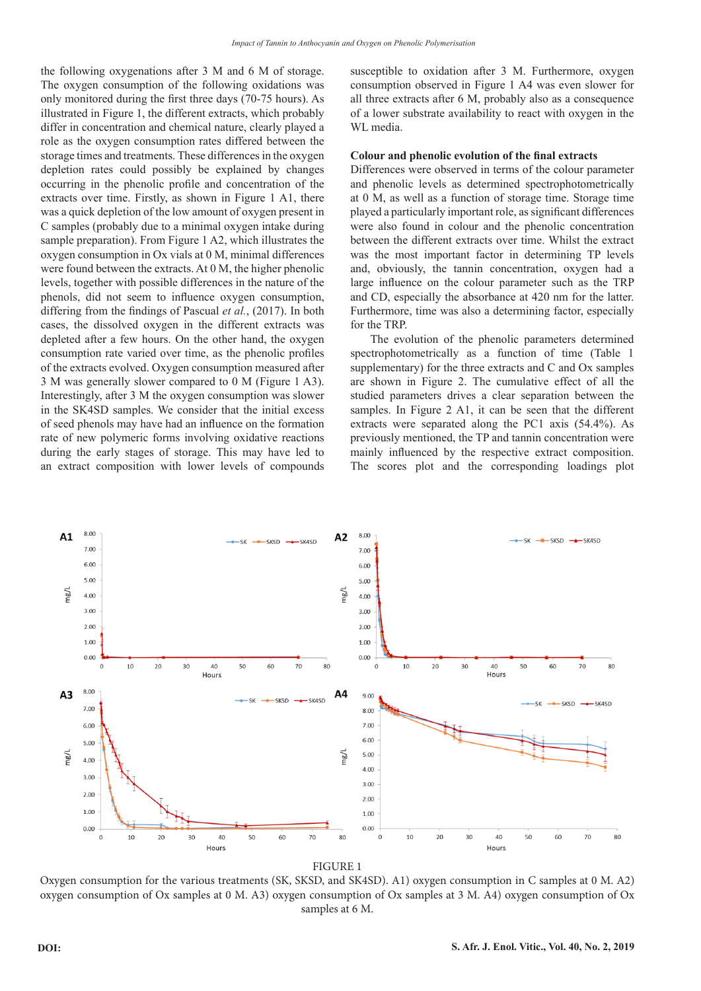the following oxygenations after 3 M and 6 M of storage. The oxygen consumption of the following oxidations was only monitored during the first three days (70-75 hours). As illustrated in Figure 1, the different extracts, which probably differ in concentration and chemical nature, clearly played a role as the oxygen consumption rates differed between the storage times and treatments. These differences in the oxygen depletion rates could possibly be explained by changes occurring in the phenolic profile and concentration of the extracts over time. Firstly, as shown in Figure 1 A1, there was a quick depletion of the low amount of oxygen present in C samples (probably due to a minimal oxygen intake during sample preparation). From Figure 1 A2, which illustrates the oxygen consumption in Ox vials at 0 M, minimal differences were found between the extracts. At 0 M, the higher phenolic levels, together with possible differences in the nature of the phenols, did not seem to influence oxygen consumption, differing from the findings of Pascual *et al.*, (2017). In both cases, the dissolved oxygen in the different extracts was depleted after a few hours. On the other hand, the oxygen consumption rate varied over time, as the phenolic profiles of the extracts evolved. Oxygen consumption measured after 3 M was generally slower compared to 0 M (Figure 1 A3). Interestingly, after 3 M the oxygen consumption was slower in the SK4SD samples. We consider that the initial excess of seed phenols may have had an influence on the formation rate of new polymeric forms involving oxidative reactions during the early stages of storage. This may have led to an extract composition with lower levels of compounds susceptible to oxidation after 3 M. Furthermore, oxygen consumption observed in Figure 1 A4 was even slower for all three extracts after 6 M, probably also as a consequence of a lower substrate availability to react with oxygen in the WL media.

## **Colour and phenolic evolution of the final extracts**

Differences were observed in terms of the colour parameter and phenolic levels as determined spectrophotometrically at 0 M, as well as a function of storage time. Storage time played a particularly important role, as significant differences were also found in colour and the phenolic concentration between the different extracts over time. Whilst the extract was the most important factor in determining TP levels and, obviously, the tannin concentration, oxygen had a large influence on the colour parameter such as the TRP and CD, especially the absorbance at 420 nm for the latter. Furthermore, time was also a determining factor, especially for the TRP.

The evolution of the phenolic parameters determined spectrophotometrically as a function of time (Table 1 supplementary) for the three extracts and C and Ox samples are shown in Figure 2. The cumulative effect of all the studied parameters drives a clear separation between the samples. In Figure 2 A1, it can be seen that the different extracts were separated along the PC1 axis (54.4%). As previously mentioned, the TP and tannin concentration were mainly influenced by the respective extract composition. The scores plot and the corresponding loadings plot



Oxygen consumption for the various treatments (SK, SKSD, and SK4SD). A1) oxygen consumption in C samples at 0 M. A2) oxygen consumption of Ox samples at 0 M. A3) oxygen consumption of Ox samples at 3 M. A4) oxygen consumption of Ox samples at 6 M.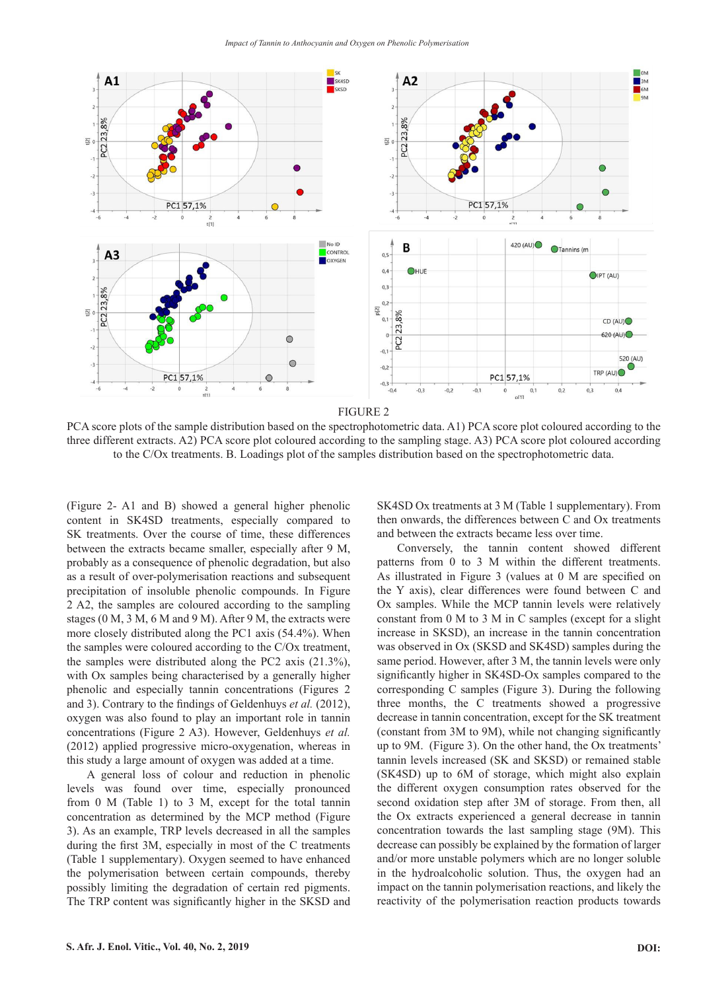

PCA score plots of the sample distribution based on the spectrophotometric data. A1) PCA score plot coloured according to the three different extracts. A2) PCA score plot coloured according to the sampling stage. A3) PCA score plot coloured according to the C/Ox treatments. B. Loadings plot of the samples distribution based on the spectrophotometric data.

(Figure 2- A1 and B) showed a general higher phenolic content in SK4SD treatments, especially compared to SK treatments. Over the course of time, these differences between the extracts became smaller, especially after 9 M, probably as a consequence of phenolic degradation, but also as a result of over-polymerisation reactions and subsequent precipitation of insoluble phenolic compounds. In Figure 2 A2, the samples are coloured according to the sampling stages (0 M, 3 M, 6 M and 9 M). After 9 M, the extracts were more closely distributed along the PC1 axis (54.4%). When the samples were coloured according to the C/Ox treatment, the samples were distributed along the PC2 axis (21.3%), with Ox samples being characterised by a generally higher phenolic and especially tannin concentrations (Figures 2 and 3). Contrary to the findings of Geldenhuys *et al.* (2012), oxygen was also found to play an important role in tannin concentrations (Figure 2 A3). However, Geldenhuys *et al.* (2012) applied progressive micro-oxygenation, whereas in this study a large amount of oxygen was added at a time.

A general loss of colour and reduction in phenolic levels was found over time, especially pronounced from 0 M (Table 1) to 3 M, except for the total tannin concentration as determined by the MCP method (Figure 3). As an example, TRP levels decreased in all the samples during the first 3M, especially in most of the C treatments (Table 1 supplementary). Oxygen seemed to have enhanced the polymerisation between certain compounds, thereby possibly limiting the degradation of certain red pigments. The TRP content was significantly higher in the SKSD and SK4SD Ox treatments at 3 M (Table 1 supplementary). From then onwards, the differences between C and Ox treatments and between the extracts became less over time.

Conversely, the tannin content showed different patterns from 0 to 3 M within the different treatments. As illustrated in Figure 3 (values at 0 M are specified on the Y axis), clear differences were found between C and Ox samples. While the MCP tannin levels were relatively constant from 0 M to 3 M in C samples (except for a slight increase in SKSD), an increase in the tannin concentration was observed in Ox (SKSD and SK4SD) samples during the same period. However, after 3 M, the tannin levels were only significantly higher in SK4SD-Ox samples compared to the corresponding C samples (Figure 3). During the following three months, the C treatments showed a progressive decrease in tannin concentration, except for the SK treatment (constant from 3M to 9M), while not changing significantly up to 9M. (Figure 3). On the other hand, the Ox treatments' tannin levels increased (SK and SKSD) or remained stable (SK4SD) up to 6M of storage, which might also explain the different oxygen consumption rates observed for the second oxidation step after 3M of storage. From then, all the Ox extracts experienced a general decrease in tannin concentration towards the last sampling stage (9M). This decrease can possibly be explained by the formation of larger and/or more unstable polymers which are no longer soluble in the hydroalcoholic solution. Thus, the oxygen had an impact on the tannin polymerisation reactions, and likely the reactivity of the polymerisation reaction products towards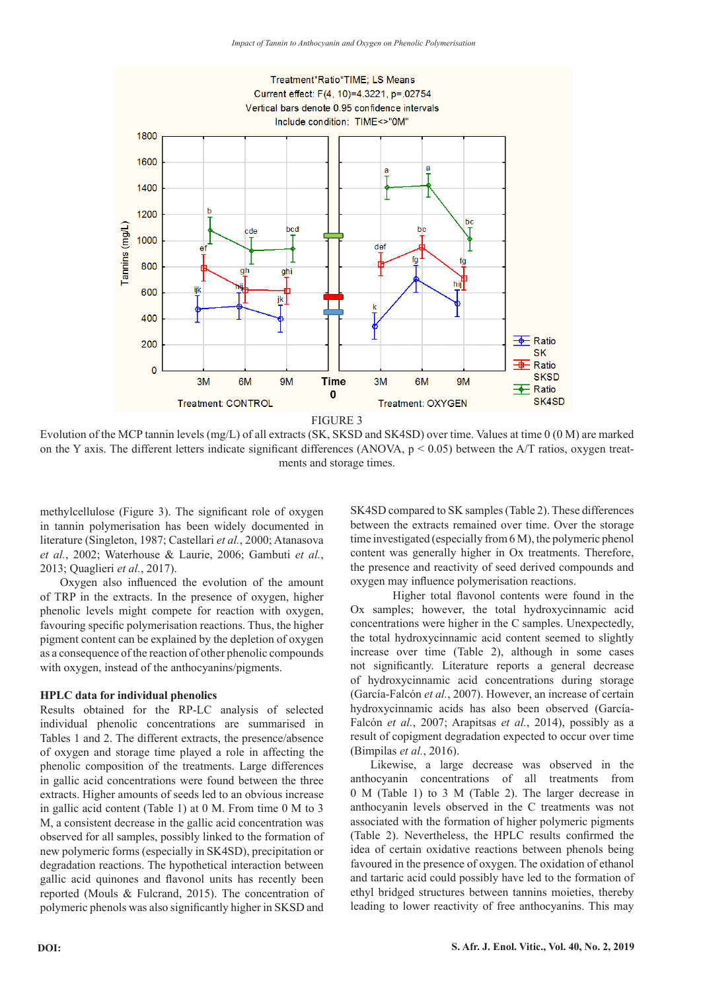

FIGURE 3

Evolution of the MCP tannin levels (mg/L) of all extracts (SK, SKSD and SK4SD) over time. Values at time 0 (0 M) are marked on the Y axis. The different letters indicate significant differences (ANOVA,  $p < 0.05$ ) between the A/T ratios, oxygen treatments and storage times.

methylcellulose (Figure 3). The significant role of oxygen in tannin polymerisation has been widely documented in literature (Singleton, 1987; Castellari *et al.*, 2000; Atanasova *et al.*, 2002; Waterhouse & Laurie, 2006; Gambuti *et al.*, 2013; Quaglieri *et al.*, 2017).

Oxygen also influenced the evolution of the amount of TRP in the extracts. In the presence of oxygen, higher phenolic levels might compete for reaction with oxygen, favouring specific polymerisation reactions. Thus, the higher pigment content can be explained by the depletion of oxygen as a consequence of the reaction of other phenolic compounds with oxygen, instead of the anthocyanins/pigments.

#### **HPLC data for individual phenolics**

Results obtained for the RP-LC analysis of selected individual phenolic concentrations are summarised in Tables 1 and 2. The different extracts, the presence/absence of oxygen and storage time played a role in affecting the phenolic composition of the treatments. Large differences in gallic acid concentrations were found between the three extracts. Higher amounts of seeds led to an obvious increase in gallic acid content (Table 1) at 0 M. From time 0 M to 3 M, a consistent decrease in the gallic acid concentration was observed for all samples, possibly linked to the formation of new polymeric forms (especially in SK4SD), precipitation or degradation reactions. The hypothetical interaction between gallic acid quinones and flavonol units has recently been reported (Mouls & Fulcrand, 2015). The concentration of polymeric phenols was also significantly higher in SKSD and

SK4SD compared to SK samples (Table 2). These differences between the extracts remained over time. Over the storage time investigated (especially from 6 M), the polymeric phenol content was generally higher in Ox treatments. Therefore, the presence and reactivity of seed derived compounds and oxygen may influence polymerisation reactions.

Higher total flavonol contents were found in the Ox samples; however, the total hydroxycinnamic acid concentrations were higher in the C samples. Unexpectedly, the total hydroxycinnamic acid content seemed to slightly increase over time (Table 2), although in some cases not significantly. Literature reports a general decrease of hydroxycinnamic acid concentrations during storage (García-Falcón *et al.*, 2007). However, an increase of certain hydroxycinnamic acids has also been observed (García-Falcón *et al.*, 2007; Arapitsas *et al.*, 2014), possibly as a result of copigment degradation expected to occur over time (Bimpilas *et al.*, 2016).

Likewise, a large decrease was observed in the anthocyanin concentrations of all treatments from 0 M (Table 1) to 3 M (Table 2). The larger decrease in anthocyanin levels observed in the C treatments was not associated with the formation of higher polymeric pigments (Table 2). Nevertheless, the HPLC results confirmed the idea of certain oxidative reactions between phenols being favoured in the presence of oxygen. The oxidation of ethanol and tartaric acid could possibly have led to the formation of ethyl bridged structures between tannins moieties, thereby leading to lower reactivity of free anthocyanins. This may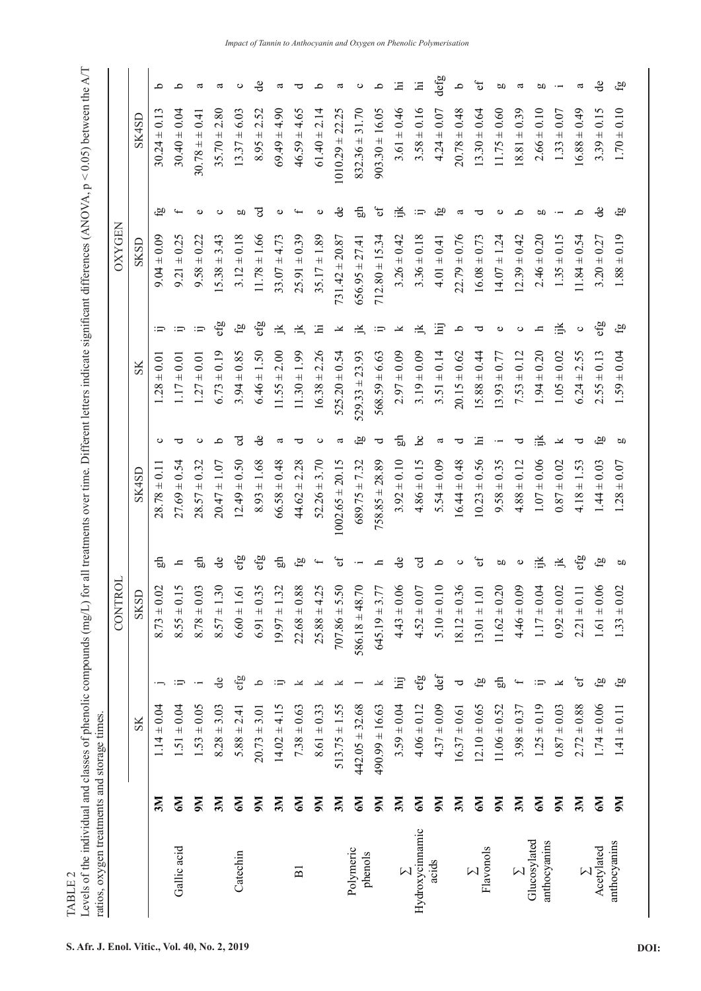|                              |                |                    |                  | 5<br>CONTR                               |                                  |                     |           |                    |                  | <b>OXYGEN</b>         |                  |                     |       |
|------------------------------|----------------|--------------------|------------------|------------------------------------------|----------------------------------|---------------------|-----------|--------------------|------------------|-----------------------|------------------|---------------------|-------|
|                              |                | SK                 |                  | SKSL                                     |                                  | SK4SD               |           | SS                 |                  | SKSD                  |                  |                     | SK4SL |
|                              | 3M             | $1.14 \pm 0.04$    |                  | $8.73 \pm 0.02$                          | 문                                | $28.78 \pm 0.11$    | ပ         | $.28 \pm 0.0$      | ≔                | $9.04 \pm 0.09$       | Ğ,               | $30.24 \pm 0.13$    |       |
| Gallic acid                  | N9             | $1.51 \pm 0.04$    | ு                | 5<br>$8.55 \pm 0.1$                      | ᇰ                                | $27.69 \pm 0.54$    | ರ         | $17 \pm 0.01$      | ு                | $9.21 \pm 0.25$       | $\overline{f}$   | $30.40 \pm 0.04$    |       |
|                              | $\mathbf{M}$   | $1.53 \pm 0.05$    | $\cdot$ $-$      | رب<br>$8.78 \pm 0.0$                     | 묾                                | $28.57 \pm 0.32$    | ပ         | $1.27 \pm 0.01$    | ்பு              | $9.58 \pm 0.22$       | $\circ$          | $30.78 \pm 0.41$    |       |
|                              | 3M             | $8.28 \pm 3.03$    | $\rm{de}$        | $8.57 \pm 1.30$                          | $\mathbf{d}$ e                   | $20.47 \pm 1.07$    | م         | $6.73 \pm 0.19$    | efg              | 3.43<br>$15.38 \pm 1$ | $\circ$          | $35.70 \pm 2.80$    |       |
| Catechin                     | Zб             | $5.88 \pm 2.41$    | efg              | $6.60 \pm 1.61$                          | efg                              | $12.49 \pm 0.50$    | टु        | $3.94 \pm 0.85$    | $\mathfrak{g}_1$ | $3.12 \pm 0.18$       | ρŪ               | $13.37 \pm 6.03$    |       |
|                              | $M_{\rm 6}$    | $20.73 \pm 3.01$   | $\Delta$         | 5<br>$6.91 \pm 0.3$                      | efg                              | $8.93 \pm 1.68$     | ಕೆ        | $6.46 \pm 1.50$    | efg              | $11.78 \pm 1.66$      | नु               | $8.95 \pm 2.52$     |       |
|                              | 3M             | $14.02 \pm 4.15$   | ≔                | $\mathbf{\sim}$<br>$19.97 \pm 1.3$       | 品                                | $66.58 \pm 0.48$    | a         | $11.55 \pm 2.00$   | 兰                | $33.07 \pm 4.73$      | Ф                | $69.49 \pm 4.90$    |       |
| $\overline{B}$               | $M_{\odot}$    | $7.38 \pm 0.63$    | ≚                | ${}^{\circ}$<br>$22.68 \pm 0.8$          | $\mathfrak{g}_1$                 | $44.62 \pm 2.28$    | ರ         | $11.30 \pm 1.99$   | 点                | $25.91 \pm 0.39$      | $\overline{f}$   | $46.59 \pm 4.65$    |       |
|                              | $M_{\rm 6}$    | $8.61 \pm 0.33$    | ≚                | $\tilde{\mathcal{L}}$<br>$25.88 \pm 4.2$ | $\overline{\phantom{0}}$         | $52.26 \pm 3.70$    | ပ         | $16.38 \pm 2.26$   | Щ                | $35.17 \pm 1.89$      | $\circ$          | $61.40 \pm 2.14$    |       |
|                              | 3M             | $513.75 \pm 1.55$  | ≚                | $707.86 \pm 5.50$                        | $\mathbf{e}$ f                   | $1002.65 \pm 20.15$ | ದ         | $525.20 \pm 0.54$  | Y                | $731.42 \pm 20.87$    | ಕಿ               | $1010.29 \pm 22.25$ |       |
| Polymeric<br>phenols         | M <sub>0</sub> | $442.05 \pm 32.68$ |                  | $586.18 \pm 48.70$                       | $\cdot$ $\overline{\phantom{a}}$ | $689.75 \pm 7.32$   | бJ        | $529.33 \pm 23.93$ | ≚                | 27.41<br>$656.95 \pm$ | 品                | $832.36 \pm 31.70$  |       |
|                              | $M_{\odot}$    | $490.99 \pm 16.63$ | ≚                | $645.19 \pm 3.77$                        | þ                                | $758.85 \pm 28.89$  | ರ         | $568.59 \pm 6.63$  | ij               | $712.80 \pm 15.34$    | $\mathfrak{b}$   | $903.30 \pm 16.05$  |       |
| $\sum$                       | 3M             | $3.59 \pm 0.04$    | $\ddot{H}$       | $4.43 \pm 0.06$                          | ಕಿ                               | $3.92 \pm 0.10$     | 品         | $2.97 \pm 0.09$    | ¥                | $3.26 \pm 0.42$       | .≚               | $3.61 \pm 0.46$     |       |
| Hydroxycinnamic              | $\mathbb{N}^9$ | $4.06 \pm 0.12$    | efg              | $4.52 \pm 0.07$                          | नु                               | $4.86 \pm 0.15$     | ತೆ        | $3.19 \pm 0.09$    | 户                | $3.36 \pm 0.18$       | ij               | $3.58 \pm 0.16$     |       |
| acids                        | $\mathbf{M}$   | $4.37 \pm 0.09$    | def              | $\subseteq$<br>$5.10 \pm 0.1$            | q                                | $5.54 \pm 0.09$     | a         | $3.51 \pm 0.14$    | Ξ                | $4.01 \pm 0.41$       | $\mathfrak{g}_1$ | $4.24 \pm 0.07$     |       |
|                              | 3M             | $16.37 \pm 0.61$   | ರ                | $8.12 \pm 0.36$                          | $\circ$                          | $16.44 \pm 0.48$    | ರ         | $20.15 \pm 0.62$   | ٩                | $22.79 \pm 0.76$      | a                | $20.78 \pm 0.48$    |       |
| Flavonols<br>$\sum$          | N9             | $12.10 \pm 0.65$   | $\mathfrak{g}_1$ | $13.01 \pm 1.01$                         | Ъ                                | $10.23 \pm 0.56$    | 크         | $+0.44$<br>15.88   | ರ                | $16.08 \pm 0.73$      | ರ                | $13.30 \pm 0.64$    |       |
|                              | N6             | $11.06 \pm 0.52$   | 品                | $11.62 \pm 0.20$                         | OO                               | $9.58 \pm 0.35$     |           | $3.93 \pm 0.77$    | Ф                | $14.07 \pm 1.24$      | $\circ$          | $11.75 \pm 0.60$    |       |
| $\sum$                       | 3M             | $3.98 \pm 0.37$    | $\ddot{}$        | $4.46 \pm 0.09$                          | $\pmb{\cup}$                     | $4.88 \pm 0.12$     | ರ         | $7.53 \pm 0.12$    | $\circ$          | $(2.39 \pm 0.42)$     | O,               | $18.81 \pm 0.39$    |       |
| Glucosylated<br>anthocyanins | $\mathbb{N}^9$ | $1.25 \pm 0.19$    | ij               | $1.17 \pm 0.04$                          | 忌                                | $1.07 \pm 0.06$     | 学         | $1.94 \pm 0.20$    | þ                | $2.46 \pm 0.20$       | ρŪ               | $2.66 \pm 0.10$     |       |
|                              | $\mathbf{M}$   | $0.87 \pm 0.03$    | k                | $0.92 \pm 0.02$                          | 兰                                | $0.87 \pm 0.02$     | Y         | $1.05 \pm 0.02$    | 学                | $1.35 \pm 0.15$       | $\cdot$ $-$      | $1.33 \pm 0.07$     |       |
| $\sum$                       | 3M             | $2.72 \pm 0.88$    | Ъ                | $2.21 \pm 0.11$                          | efg                              | $4.18 \pm 1.53$     | ರ         | $6.24 \pm 2.55$    | $\circ$          | $11.84 \pm 0.54$      | Q,               | $16.88 \pm 0.49$    |       |
| Acetylated                   | $M_{\odot}$    | $1.74 \pm 0.06$    | $\mathfrak{g}_1$ | $1.61 \pm 0.06$                          | $\mathfrak{g}_1$                 | $1.44 \pm 0.03$     | <u>മ്</u> | $2.55 \pm 0.13$    | efg              | $3.20 \pm 0.27$       | ಕಿ               | $3.39 \pm 0.15$     |       |
| anthocyanins                 | $\mathbf{M}$   | $1.41 \pm 0.11$    | $\mathfrak{g}_1$ | $1.33 \pm 0.02$                          | p0                               | $1.28 \pm 0.07$     | 60        | $1.59 \pm 0.04$    | ĞЭ               | $1.88 \pm 0.19$       | යු               | $1.70 \pm 0.10$     |       |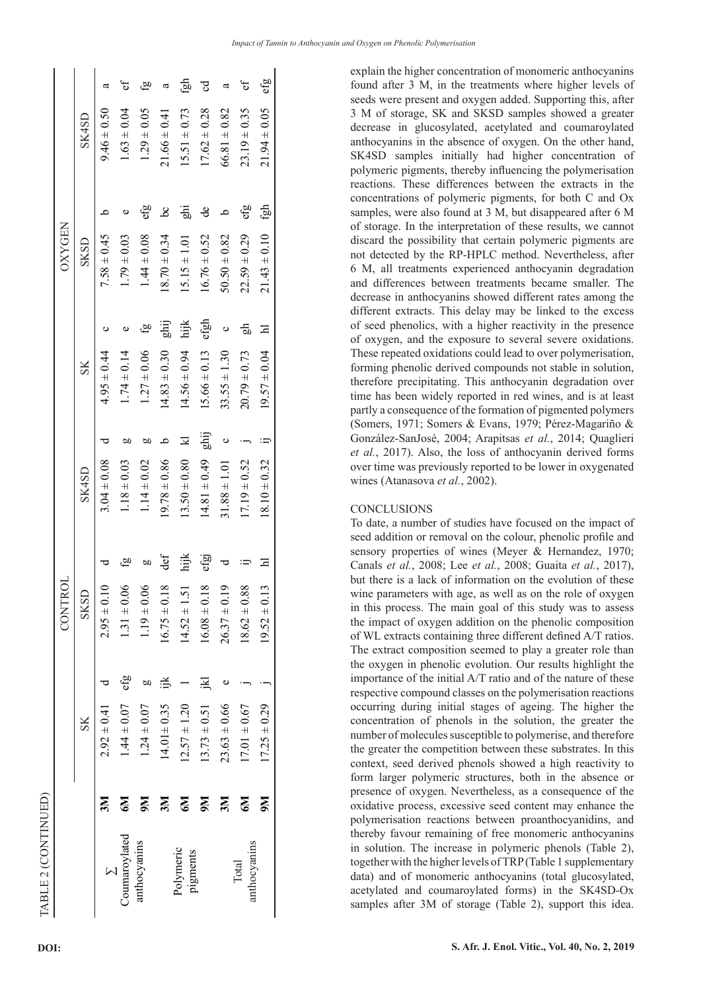|                       |           |                  |     | CONTRO           |      |                  |      |                  |      | <b>OXYGEN</b>    |                    |                  |     |
|-----------------------|-----------|------------------|-----|------------------|------|------------------|------|------------------|------|------------------|--------------------|------------------|-----|
|                       |           | $_{\rm SK}$      |     | SKSD             |      | SK4SD            |      | $S_{\rm K}$      |      | SKSD             |                    | SK4SD            |     |
|                       | 3M        | $2.92 \pm 0.41$  |     | $2.95 \pm 0.10$  |      | $3.04 \pm 0.08$  |      | $4.95 \pm 0.44$  | ပ    | $7.58 \pm 0.45$  | $\mathbf{\Omega}$  | $9.46 \pm 0.50$  | ದ   |
| Coumaroylated         | N9        | $1.44 \pm 0.07$  | efg | $1.31 \pm 0.06$  | òй   | $1.18 \pm 0.03$  | ЬΩ   | $1.74 \pm 0.14$  | Φ    | $1.79 \pm 0.03$  |                    | $1.63 \pm 0.04$  | đ   |
| anthocyanins          | N6        | $1.24 \pm 0.07$  | 60  | $1.19 \pm 0.06$  | ЬΩ   | $1.14 \pm 0.02$  | ЬΩ   | $1.27 \pm 0.06$  | çа   | $.44 \pm 0.08$   | ငျာ                | $1.29 \pm 0.05$  | යු  |
|                       | ЗM        | $14.01 \pm 0.35$ | iļX | $16.75 \pm 0.18$ | def  | $19.78 \pm 0.86$ | C    | $4.83 \pm 0.30$  | ghij | $8.70 \pm 0.34$  | ತೆ                 | $21.66 \pm 0.41$ | ದ   |
| Polymeric<br>pigments | <u>Бу</u> | $2.57 \pm 1.20$  |     | $14.52 \pm 1.51$ | Ě    | $13.50 \pm 0.80$ | 고    | $4.56 \pm 0.94$  | hijk | $15.15 \pm 1.01$ | ghi                | $15.51 \pm 0.73$ | Ţар |
|                       | N6        | $13.73 \pm 0.51$ | 그   | $16.08 \pm 0.18$ | efgj | $14.81 \pm 0.49$ | ghij | $5.66 \pm 0.13$  | efgh | $16.76 \pm 0.52$ | de                 | $17.62 \pm 0.28$ | ड   |
|                       | ZК        | $23.63 \pm 0.66$ | ω   | $26.37 \pm 0.19$ |      | $31.88 \pm 1.01$ | ပ    | $33.55 \pm 1.30$ | Ò    | $50.50 \pm 0.82$ | $\mathbf{\hat{c}}$ | $66.81 \pm 0.82$ | ದ   |
| anthocyanins<br>Total | N9        | $17.01 \pm 0.67$ |     | $18.62 \pm 0.88$ |      | $17.19 \pm 0.52$ |      | $20.79 \pm 0.73$ | 品    | $22.59 \pm 0.29$ | efg                | $23.19 \pm 0.35$ | F   |
|                       | N6        | $17.25 \pm 0.29$ |     | $19.52 \pm 0.13$ |      | $18.10 \pm 0.32$ |      | $19.57 \pm 0.04$ | Ξ    | $21.43 \pm 0.10$ | fgh                | $21.94 \pm 0.05$ | efg |
|                       |           |                  |     |                  |      |                  |      |                  |      |                  |                    |                  |     |

explain the higher concentration of monomeric anthocyanins found after 3 M, in the treatments where higher levels of seeds were present and oxygen added. Supporting this, after 3 M of storage, SK and SKSD samples showed a greater decrease in glucosylated, acetylated and coumaroylated anthocyanins in the absence of oxygen. On the other hand, SK4SD samples initially had higher concentration of polymeric pigments, thereby influencing the polymerisation reactions. These differences between the extracts in the concentrations of polymeric pigments, for both C and Ox samples, were also found at 3 M, but disappeared after 6 M of storage. In the interpretation of these results, we cannot discard the possibility that certain polymeric pigments are not detected by the RP-HPLC method. Nevertheless, after 6 M, all treatments experienced anthocyanin degradation and differences between treatments became smaller. The decrease in anthocyanins showed different rates among the different extracts. This delay may be linked to the excess of seed phenolics, with a higher reactivity in the presence of oxygen, and the exposure to several severe oxidations. These repeated oxidations could lead to over polymerisation, forming phenolic derived compounds not stable in solution, therefore precipitating. This anthocyanin degradation over time has been widely reported in red wines, and is at least partly a consequence of the formation of pigmented polymers (Somers, 1971; Somers & Evans, 1979; Pérez-Magariño & González-SanJosé, 2004; Arapitsas *et al.*, 2014; Quaglieri *et al.*, 2017). Also, the loss of anthocyanin derived forms over time was previously reported to be lower in oxygenated wines (Atanasova *et al.*, 2002).

## **CONCLUSIONS**

To date, a number of studies have focused on the impact of seed addition or removal on the colour, phenolic profile and sensory properties of wines (Meyer & Hernandez, 1970; Canals *et al.*, 2008; Lee *et al.*, 2008; Guaita *et al.*, 2017), but there is a lack of information on the evolution of these wine parameters with age, as well as on the role of oxygen in this process. The main goal of this study was to assess the impact of oxygen addition on the phenolic composition of WL extracts containing three different defined A/T ratios. The extract composition seemed to play a greater role than the oxygen in phenolic evolution. Our results highlight the importance of the initial A/T ratio and of the nature of these respective compound classes on the polymerisation reactions occurring during initial stages of ageing. The higher the concentration of phenols in the solution, the greater the number of molecules susceptible to polymerise, and therefore the greater the competition between these substrates. In this context, seed derived phenols showed a high reactivity to form larger polymeric structures, both in the absence or presence of oxygen. Nevertheless, as a consequence of the oxidative process, excessive seed content may enhance the polymerisation reactions between proanthocyanidins, and thereby favour remaining of free monomeric anthocyanins in solution. The increase in polymeric phenols (Table 2), together with the higher levels of TRP (Table 1 supplementary data) and of monomeric anthocyanins (total glucosylated, acetylated and coumaroylated forms) in the SK4SD-Ox samples after 3M of storage (Table 2), support this idea.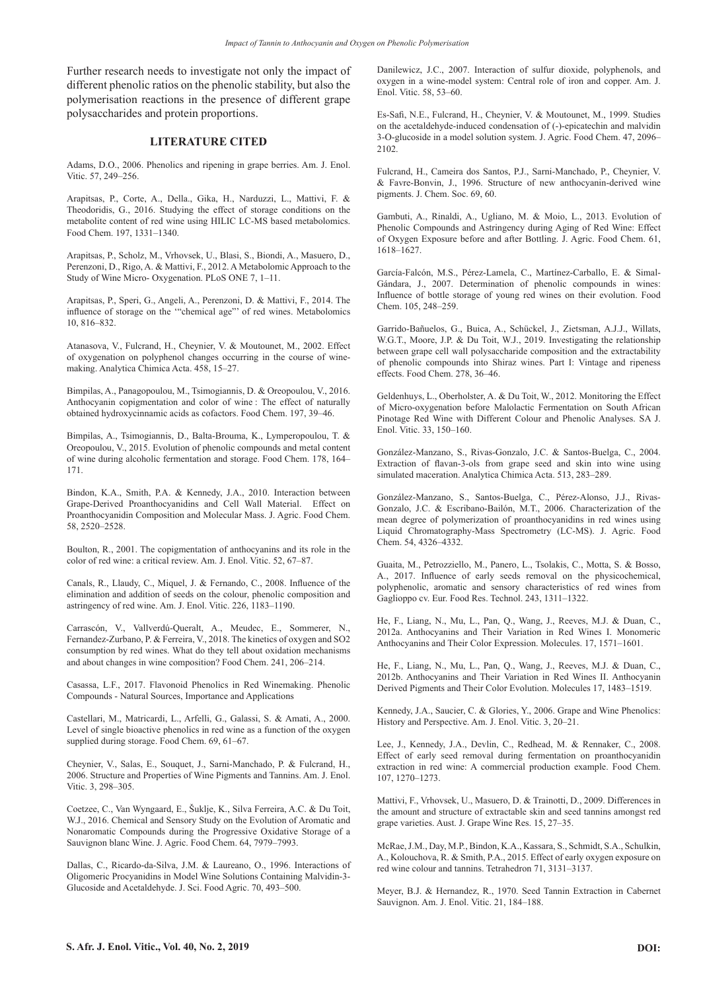Further research needs to investigate not only the impact of different phenolic ratios on the phenolic stability, but also the polymerisation reactions in the presence of different grape polysaccharides and protein proportions.

#### **LITERATURE CITED**

Adams, D.O., 2006. Phenolics and ripening in grape berries. Am. J. Enol. Vitic. 57, 249–256.

Arapitsas, P., Corte, A., Della., Gika, H., Narduzzi, L., Mattivi, F. & Theodoridis, G., 2016. Studying the effect of storage conditions on the metabolite content of red wine using HILIC LC-MS based metabolomics. Food Chem. 197, 1331–1340.

Arapitsas, P., Scholz, M., Vrhovsek, U., Blasi, S., Biondi, A., Masuero, D., Perenzoni, D., Rigo, A. & Mattivi, F., 2012. A Metabolomic Approach to the Study of Wine Micro- Oxygenation. PLoS ONE 7, 1–11.

Arapitsas, P., Speri, G., Angeli, A., Perenzoni, D. & Mattivi, F., 2014. The influence of storage on the '"chemical age"' of red wines. Metabolomics 10, 816–832.

Atanasova, V., Fulcrand, H., Cheynier, V. & Moutounet, M., 2002. Effect of oxygenation on polyphenol changes occurring in the course of winemaking. Analytica Chimica Acta. 458, 15–27.

Bimpilas, A., Panagopoulou, M., Tsimogiannis, D. & Oreopoulou, V., 2016. Anthocyanin copigmentation and color of wine : The effect of naturally obtained hydroxycinnamic acids as cofactors. Food Chem. 197, 39–46.

Bimpilas, A., Tsimogiannis, D., Balta-Brouma, K., Lymperopoulou, T. & Oreopoulou, V., 2015. Evolution of phenolic compounds and metal content of wine during alcoholic fermentation and storage. Food Chem. 178, 164– 171.

Bindon, K.A., Smith, P.A. & Kennedy, J.A., 2010. Interaction between Grape-Derived Proanthocyanidins and Cell Wall Material. Effect on Proanthocyanidin Composition and Molecular Mass. J. Agric. Food Chem. 58, 2520–2528.

Boulton, R., 2001. The copigmentation of anthocyanins and its role in the color of red wine: a critical review. Am. J. Enol. Vitic. 52, 67–87.

Canals, R., Llaudy, C., Miquel, J. & Fernando, C., 2008. Influence of the elimination and addition of seeds on the colour, phenolic composition and astringency of red wine. Am. J. Enol. Vitic. 226, 1183–1190.

Carrascón, V., Vallverdú-Queralt, A., Meudec, E., Sommerer, N., Fernandez-Zurbano, P. & Ferreira, V., 2018. The kinetics of oxygen and SO2 consumption by red wines. What do they tell about oxidation mechanisms and about changes in wine composition? Food Chem. 241, 206–214.

Casassa, L.F., 2017. Flavonoid Phenolics in Red Winemaking. Phenolic Compounds - Natural Sources, Importance and Applications

Castellari, M., Matricardi, L., Arfelli, G., Galassi, S. & Amati, A., 2000. Level of single bioactive phenolics in red wine as a function of the oxygen supplied during storage. Food Chem. 69, 61–67.

Cheynier, V., Salas, E., Souquet, J., Sarni-Manchado, P. & Fulcrand, H., 2006. Structure and Properties of Wine Pigments and Tannins. Am. J. Enol. Vitic. 3, 298–305.

Coetzee, C., Van Wyngaard, E., Šuklje, K., Silva Ferreira, A.C. & Du Toit, W.J., 2016. Chemical and Sensory Study on the Evolution of Aromatic and Nonaromatic Compounds during the Progressive Oxidative Storage of a Sauvignon blanc Wine. J. Agric. Food Chem. 64, 7979–7993.

Dallas, C., Ricardo-da-Silva, J.M. & Laureano, O., 1996. Interactions of Oligomeric Procyanidins in Model Wine Solutions Containing Malvidin-3- Glucoside and Acetaldehyde. J. Sci. Food Agric. 70, 493–500.

Danilewicz, J.C., 2007. Interaction of sulfur dioxide, polyphenols, and oxygen in a wine-model system: Central role of iron and copper. Am. J. Enol. Vitic. 58, 53–60.

Es-Safi, N.E., Fulcrand, H., Cheynier, V. & Moutounet, M., 1999. Studies on the acetaldehyde-induced condensation of (-)-epicatechin and malvidin 3-O-glucoside in a model solution system. J. Agric. Food Chem. 47, 2096– 2102.

Fulcrand, H., Cameira dos Santos, P.J., Sarni-Manchado, P., Cheynier, V. & Favre-Bonvin, J., 1996. Structure of new anthocyanin-derived wine pigments. J. Chem. Soc. 69, 60.

Gambuti, A., Rinaldi, A., Ugliano, M. & Moio, L., 2013. Evolution of Phenolic Compounds and Astringency during Aging of Red Wine: Effect of Oxygen Exposure before and after Bottling. J. Agric. Food Chem. 61, 1618–1627.

García-Falcón, M.S., Pérez-Lamela, C., Martínez-Carballo, E. & Simal-Gándara, J., 2007. Determination of phenolic compounds in wines: Influence of bottle storage of young red wines on their evolution. Food Chem. 105, 248–259.

Garrido-Bañuelos, G., Buica, A., Schückel, J., Zietsman, A.J.J., Willats, W.G.T., Moore, J.P. & Du Toit, W.J., 2019. Investigating the relationship between grape cell wall polysaccharide composition and the extractability of phenolic compounds into Shiraz wines. Part I: Vintage and ripeness effects. Food Chem. 278, 36–46.

Geldenhuys, L., Oberholster, A. & Du Toit, W., 2012. Monitoring the Effect of Micro-oxygenation before Malolactic Fermentation on South African Pinotage Red Wine with Different Colour and Phenolic Analyses. SA J. Enol. Vitic. 33, 150–160.

González-Manzano, S., Rivas-Gonzalo, J.C. & Santos-Buelga, C., 2004. Extraction of flavan-3-ols from grape seed and skin into wine using simulated maceration. Analytica Chimica Acta. 513, 283–289.

González-Manzano, S., Santos-Buelga, C., Pérez-Alonso, J.J., Rivas-Gonzalo, J.C. & Escribano-Bailón, M.T., 2006. Characterization of the mean degree of polymerization of proanthocyanidins in red wines using Liquid Chromatography-Mass Spectrometry (LC-MS). J. Agric. Food Chem. 54, 4326–4332.

Guaita, M., Petrozziello, M., Panero, L., Tsolakis, C., Motta, S. & Bosso, A., 2017. Influence of early seeds removal on the physicochemical, polyphenolic, aromatic and sensory characteristics of red wines from Gaglioppo cv. Eur. Food Res. Technol. 243, 1311–1322.

He, F., Liang, N., Mu, L., Pan, Q., Wang, J., Reeves, M.J. & Duan, C., 2012a. Anthocyanins and Their Variation in Red Wines I. Monomeric Anthocyanins and Their Color Expression. Molecules. 17, 1571–1601.

He, F., Liang, N., Mu, L., Pan, Q., Wang, J., Reeves, M.J. & Duan, C., 2012b. Anthocyanins and Their Variation in Red Wines II. Anthocyanin Derived Pigments and Their Color Evolution. Molecules 17, 1483–1519.

Kennedy, J.A., Saucier, C. & Glories, Y., 2006. Grape and Wine Phenolics: History and Perspective. Am. J. Enol. Vitic. 3, 20–21.

Lee, J., Kennedy, J.A., Devlin, C., Redhead, M. & Rennaker, C., 2008. Effect of early seed removal during fermentation on proanthocyanidin extraction in red wine: A commercial production example. Food Chem. 107, 1270–1273.

Mattivi, F., Vrhovsek, U., Masuero, D. & Trainotti, D., 2009. Differences in the amount and structure of extractable skin and seed tannins amongst red grape varieties. Aust. J. Grape Wine Res. 15, 27–35.

McRae, J.M., Day, M.P., Bindon, K.A., Kassara, S., Schmidt, S.A., Schulkin, A., Kolouchova, R. & Smith, P.A., 2015. Effect of early oxygen exposure on red wine colour and tannins. Tetrahedron 71, 3131–3137.

Meyer, B.J. & Hernandez, R., 1970. Seed Tannin Extraction in Cabernet Sauvignon. Am. J. Enol. Vitic. 21, 184–188.